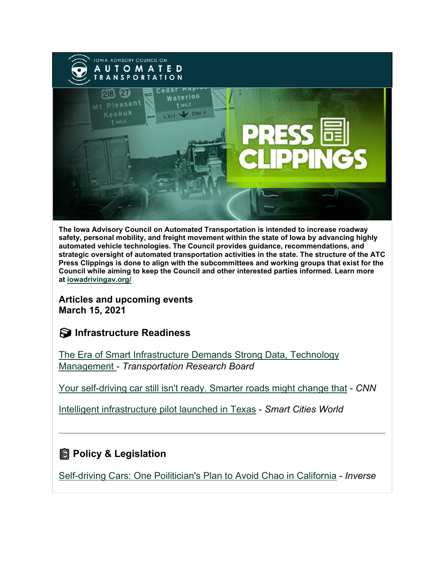

**The Iowa Advisory Council on Automated Transportation is intended to increase roadway safety, personal mobility, and freight movement within the state of Iowa by advancing highly automated vehicle technologies. The Council provides guidance, recommendations, and strategic oversight of automated transportation activities in the state. The structure of the ATC Press Clippings is done to align with the subcommittees and working groups that exist for the Council while aiming to keep the Council and other interested parties informed. Learn more at [iowadrivingav.org/](https://iowadrivingav.org/?utm_medium=email&utm_source=govdelivery)**

**Articles and upcoming events March 15, 2021**

### **Infrastructure Readiness**

[The Era of Smart Infrastructure Demands Strong Data, Technology](https://www.nationalacademies.org/trb/blog/the-era-of-smart-infrastructure-demands-strong-data-and-technology-management?utm_medium=email&utm_source=govdelivery)  [Management](https://www.nationalacademies.org/trb/blog/the-era-of-smart-infrastructure-demands-strong-data-and-technology-management?utm_medium=email&utm_source=govdelivery) - *Transportation Research Board*

[Your self-driving car still isn't ready. Smarter roads might change that](https://us.cnn.com/2021/03/05/cars/cavnue-self-driving-lanes/index.html?utm_medium=email&utm_source=govdelivery) - *CNN*

[Intelligent infrastructure pilot launched in Texas](https://www.smartcitiesworld.net/news/intelligent-infrastructure-pilot-launched-in-texas-6179?utm_medium=email&utm_source=govdelivery) - *Smart Cities World*

## **<u></u></u> Policy & Legislation**

[Self-driving Cars: One Poilitician's Plan to Avoid Chao in California](https://www.inverse.com/innovation/self-driving-cars-ben-allen?utm_medium=email&utm_source=govdelivery) - *Inverse*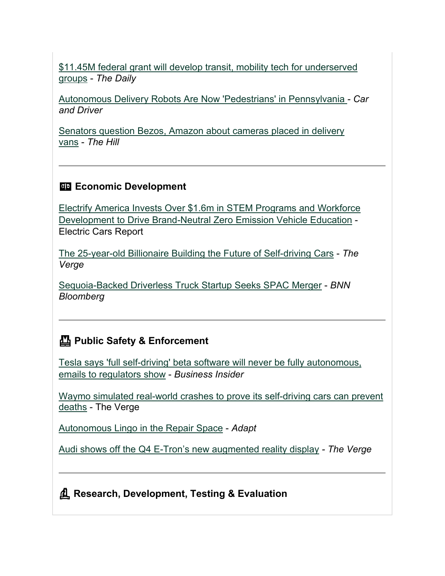[\\$11.45M federal grant will develop transit, mobility tech for underserved](https://www.dailyuw.com/news/article_10fb77e6-7b2d-11eb-8ff7-339dfc7f6ef5.html?utm_medium=email&utm_source=govdelivery)  [groups](https://www.dailyuw.com/news/article_10fb77e6-7b2d-11eb-8ff7-339dfc7f6ef5.html?utm_medium=email&utm_source=govdelivery) - *The Daily*

[Autonomous Delivery Robots Are Now 'Pedestrians' in Pennsylvania](https://www.caranddriver.com/news/a35756202/autonomous-delivery-robots-pedestrians-law/?utm_medium=email&utm_source=govdelivery) *- Car and Driver*

[Senators question Bezos, Amazon about cameras placed in delivery](https://thehill.com/policy/technology/541494-senators-question-bezos-amazon-about-cameras-placed-in-delivery-vans?utm_medium=email&utm_source=govdelivery)  [vans](https://thehill.com/policy/technology/541494-senators-question-bezos-amazon-about-cameras-placed-in-delivery-vans?utm_medium=email&utm_source=govdelivery) - *The Hill*

#### **ED Economic Development**

[Electrify America Invests Over \\$1.6m in STEM Programs and Workforce](https://electriccarsreport.com/2021/03/electrify-america-invests-over-1-6m-in-stem-programs-and-workforce-development-to-drive-brand-neutral-zero-emission-vehicle-education/?utm_campaign=Feed%3A+ElectricCarsReport+%28Electric+Cars+News%2C+Reports+about+Electric+Cars%29&utm_medium=email&utm_source=govdelivery)  [Development to Drive Brand-Neutral Zero Emission Vehicle Education](https://electriccarsreport.com/2021/03/electrify-america-invests-over-1-6m-in-stem-programs-and-workforce-development-to-drive-brand-neutral-zero-emission-vehicle-education/?utm_campaign=Feed%3A+ElectricCarsReport+%28Electric+Cars+News%2C+Reports+about+Electric+Cars%29&utm_medium=email&utm_source=govdelivery) - Electric Cars Report

[The 25-year-old Billionaire Building the Future of Self-driving Cars](https://www.theverge.com/22298001/luminar-austin-russel-ceo-interview-self-driving-cars?utm_medium=email&utm_source=govdelivery) - *The Verge*

[Sequoia-Backed Driverless Truck Startup Seeks SPAC Merger](https://www.bnnbloomberg.ca/sequoia-backed-driverless-truck-startup-seeks-spac-merger-1.1573770?utm_medium=email&utm_source=govdelivery) - *BNN Bloomberg*

#### **Public Safety & Enforcement**

[Tesla says 'full self-driving' beta software will never be fully autonomous,](https://www.businessinsider.com/tesla-full-self-driving-beta-isnt-autonomous-emails-california-dmv-2021-3?utm_medium=email&utm_source=govdelivery)  [emails to regulators show](https://www.businessinsider.com/tesla-full-self-driving-beta-isnt-autonomous-emails-california-dmv-2021-3?utm_medium=email&utm_source=govdelivery) - *Business Insider*

[Waymo simulated real-world crashes to prove its self-driving cars can prevent](https://www.theverge.com/2021/3/8/22315361/waymo-autonomous-vehicle-simulation-car-crash-deaths?utm_medium=email&utm_source=govdelivery)  [deaths](https://www.theverge.com/2021/3/8/22315361/waymo-autonomous-vehicle-simulation-car-crash-deaths?utm_medium=email&utm_source=govdelivery) - The Verge

[Autonomous Lingo in the Repair Space](https://www.adaptautomotive.com/articles/955-autonomous-lingo-in-the-repair-space?utm_medium=email&utm_source=govdelivery) - *Adapt*

[Audi shows off the Q4 E-Tron's new augmented reality display](https://www.theverge.com/2021/3/9/22320190/audi-q4-etron-suv-interior-augmented-reality-ar-photos?utm_medium=email&utm_source=govdelivery) *- The Verge*

**Research, Development, Testing & Evaluation**